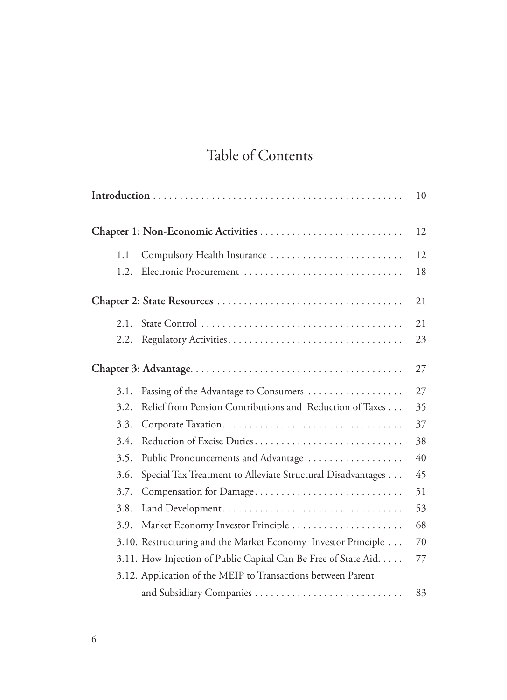## Table of Contents

|  |      |                                                                 | 10 |  |  |
|--|------|-----------------------------------------------------------------|----|--|--|
|  |      |                                                                 |    |  |  |
|  | 1.1  | Compulsory Health Insurance                                     | 12 |  |  |
|  | 1.2. | Electronic Procurement                                          | 18 |  |  |
|  |      |                                                                 |    |  |  |
|  | 2.1. |                                                                 | 21 |  |  |
|  | 2.2. |                                                                 | 23 |  |  |
|  |      |                                                                 | 27 |  |  |
|  | 3.1. | Passing of the Advantage to Consumers                           | 27 |  |  |
|  | 3.2. | Relief from Pension Contributions and Reduction of Taxes        | 35 |  |  |
|  | 3.3. |                                                                 | 37 |  |  |
|  | 3.4. | Reduction of Excise Duties                                      | 38 |  |  |
|  | 3.5. | Public Pronouncements and Advantage                             | 40 |  |  |
|  | 3.6. | Special Tax Treatment to Alleviate Structural Disadvantages     | 45 |  |  |
|  | 3.7. | Compensation for Damage                                         | 51 |  |  |
|  | 3.8. |                                                                 | 53 |  |  |
|  | 3.9. | Market Economy Investor Principle                               | 68 |  |  |
|  |      | 3.10. Restructuring and the Market Economy Investor Principle   | 70 |  |  |
|  |      | 3.11. How Injection of Public Capital Can Be Free of State Aid. | 77 |  |  |
|  |      | 3.12. Application of the MEIP to Transactions between Parent    |    |  |  |
|  |      | and Subsidiary Companies                                        | 83 |  |  |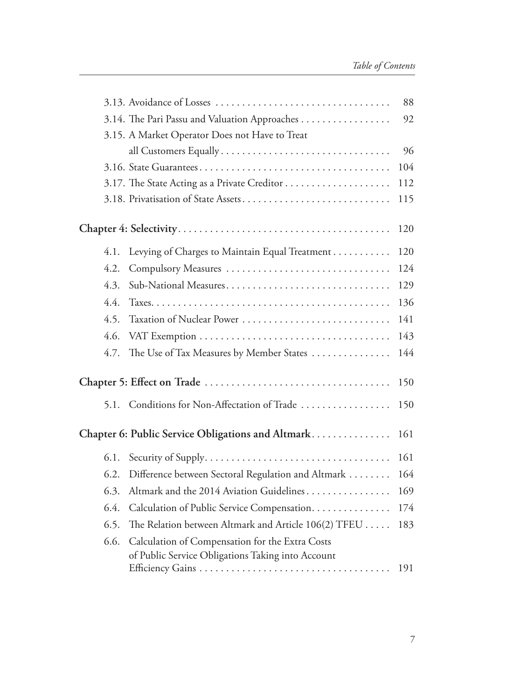|      |                                                                                                      | 88  |  |  |  |
|------|------------------------------------------------------------------------------------------------------|-----|--|--|--|
|      | 3.14. The Pari Passu and Valuation Approaches                                                        | 92  |  |  |  |
|      | 3.15. A Market Operator Does not Have to Treat                                                       |     |  |  |  |
|      | all Customers Equally                                                                                | 96  |  |  |  |
|      |                                                                                                      | 104 |  |  |  |
|      |                                                                                                      | 112 |  |  |  |
|      | 3.18. Privatisation of State Assets                                                                  | 115 |  |  |  |
|      |                                                                                                      | 120 |  |  |  |
| 4.1. | Levying of Charges to Maintain Equal Treatment                                                       | 120 |  |  |  |
| 4.2. | Compulsory Measures                                                                                  | 124 |  |  |  |
| 4.3. | Sub-National Measures                                                                                | 129 |  |  |  |
| 4.4. |                                                                                                      | 136 |  |  |  |
| 4.5. | Taxation of Nuclear Power                                                                            | 141 |  |  |  |
| 4.6. |                                                                                                      | 143 |  |  |  |
| 4.7. | The Use of Tax Measures by Member States                                                             | 144 |  |  |  |
|      |                                                                                                      |     |  |  |  |
| 5.1. | Conditions for Non-Affectation of Trade                                                              | 150 |  |  |  |
|      | Chapter 6: Public Service Obligations and Altmark                                                    | 161 |  |  |  |
| 6.1. |                                                                                                      | 161 |  |  |  |
| 6.2. | Difference between Sectoral Regulation and Altmark                                                   | 164 |  |  |  |
| 6.3. | Altmark and the 2014 Aviation Guidelines                                                             | 169 |  |  |  |
| 6.4. | Calculation of Public Service Compensation.                                                          | 174 |  |  |  |
| 6.5. | The Relation between Altmark and Article 106(2) TFEU                                                 | 183 |  |  |  |
| 6.6. | Calculation of Compensation for the Extra Costs<br>of Public Service Obligations Taking into Account |     |  |  |  |
|      |                                                                                                      | 191 |  |  |  |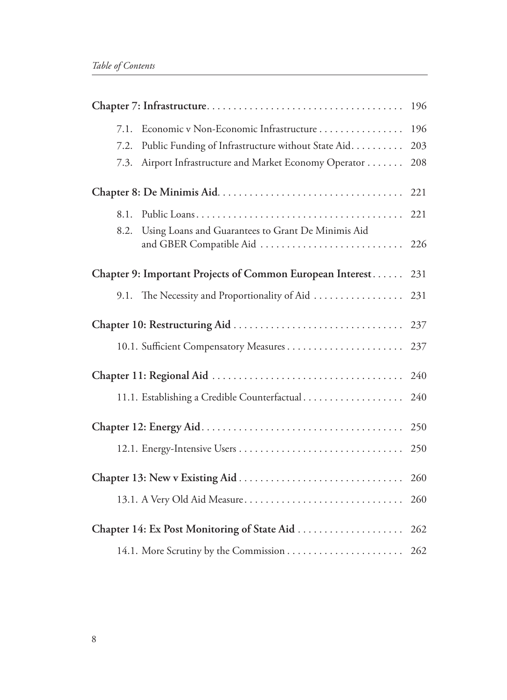| Economic v Non-Economic Infrastructure<br>7.1.<br>Public Funding of Infrastructure without State Aid.<br>7.2.<br>Airport Infrastructure and Market Economy Operator<br>7.3. | 196<br>203<br>208 |  |
|-----------------------------------------------------------------------------------------------------------------------------------------------------------------------------|-------------------|--|
|                                                                                                                                                                             |                   |  |
| 8.1.                                                                                                                                                                        | 221               |  |
| Using Loans and Guarantees to Grant De Minimis Aid<br>8.2.<br>and GBER Compatible Aid                                                                                       | 226               |  |
| Chapter 9: Important Projects of Common European Interest                                                                                                                   |                   |  |
| The Necessity and Proportionality of Aid<br>9.1.                                                                                                                            | 231               |  |
|                                                                                                                                                                             |                   |  |
|                                                                                                                                                                             | 237               |  |
|                                                                                                                                                                             |                   |  |
| 11.1. Establishing a Credible Counterfactual                                                                                                                                | 240               |  |
|                                                                                                                                                                             | 250               |  |
|                                                                                                                                                                             | 250               |  |
|                                                                                                                                                                             |                   |  |
| 13.1. A Very Old Aid Measure                                                                                                                                                | 260               |  |
| Chapter 14: Ex Post Monitoring of State Aid                                                                                                                                 |                   |  |
| 14.1. More Scrutiny by the Commission  262                                                                                                                                  |                   |  |